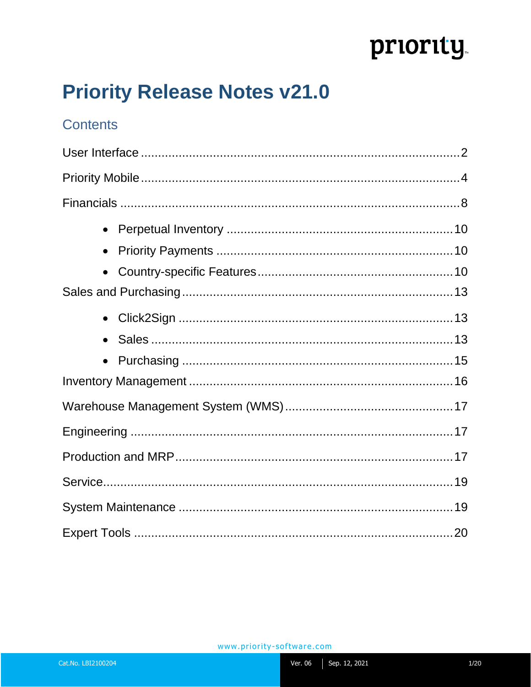# priority

# **Priority Release Notes v21.0**

### **Contents**

| $\bullet$ |  |
|-----------|--|
|           |  |
| $\bullet$ |  |
|           |  |
| $\bullet$ |  |
| $\bullet$ |  |
| $\bullet$ |  |
|           |  |
|           |  |
|           |  |
|           |  |
|           |  |
|           |  |
|           |  |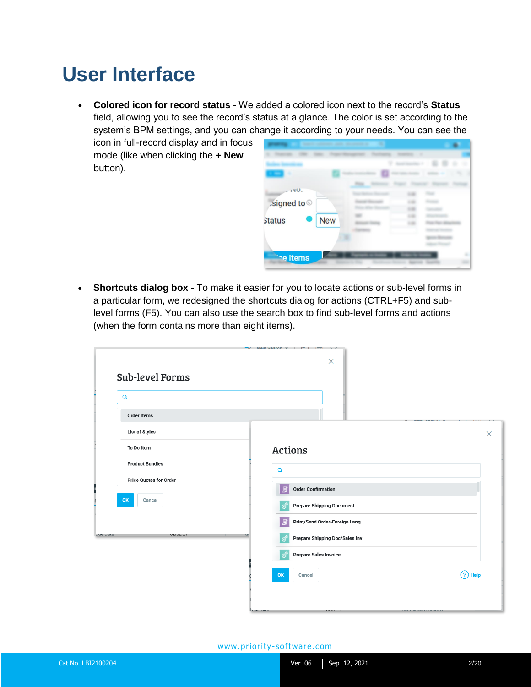## <span id="page-1-0"></span>**User Interface**

• **Colored icon for record status** - We added a colored icon next to the record's **Status**  field, allowing you to see the record's status at a glance. The color is set according to the system's BPM settings, and you can change it according to your needs. You can see the

icon in full-record display and in focus mode (like when clicking the **+ New**  button).



• **Shortcuts dialog box** - To make it easier for you to locate actions or sub-level forms in a particular form, we redesigned the shortcuts dialog for actions (CTRL+F5) and sublevel forms (F5). You can also use the search box to find sub-level forms and actions (when the form contains more than eight items).

| $\alpha$                           |                                                                                                                    |          |
|------------------------------------|--------------------------------------------------------------------------------------------------------------------|----------|
| <b>Order Items</b>                 | $N$ <sup><math>\alpha</math></sup> $N$ $\alpha$ $\alpha$ r $\alpha$ n $\blacktriangledown$<br>57.<br>- -<br>$\sim$ |          |
| <b>List of Styles</b>              |                                                                                                                    | $\times$ |
| To Do Item                         | <b>Actions</b>                                                                                                     |          |
| <b>Product Bundles</b>             | $\alpha$                                                                                                           |          |
| <b>Price Quotes for Order</b>      | <b>Order Confirmation</b><br>目                                                                                     |          |
| OK<br>Cancel                       | <b>Prepare Shipping Document</b><br>ස්                                                                             |          |
|                                    | Print/Send Order-Foreign Lang<br>冝                                                                                 |          |
| <b>Lue vale</b><br><b>VEIVEIL1</b> | Prepare Shipping Doc/Sales Inv<br>ත්                                                                               |          |
|                                    | ත්<br><b>Prepare Sales Invoice</b>                                                                                 |          |
|                                    | $(?)$ Help<br>OK<br>Cancel                                                                                         |          |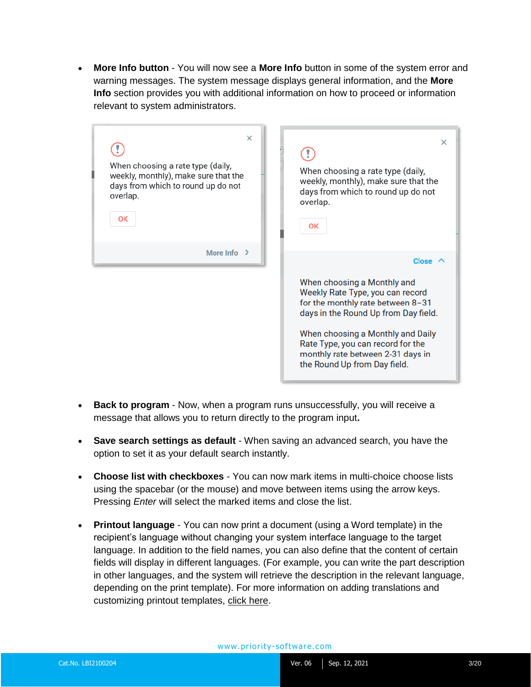• **More Info button** - You will now see a **More Info** button in some of the system error and warning messages. The system message displays general information, and the **More Info** section provides you with additional information on how to proceed or information relevant to system administrators.

| $\times$<br>When choosing a rate type (daily,<br>weekly, monthly), make sure that the<br>days from which to round up do not<br>overlap.<br>OK | $\times$<br>When choosing a rate type (daily,<br>weekly, monthly), make sure that the<br>days from which to round up do not<br>overlap.<br><b>OK</b>                                                                                                                                        |
|-----------------------------------------------------------------------------------------------------------------------------------------------|---------------------------------------------------------------------------------------------------------------------------------------------------------------------------------------------------------------------------------------------------------------------------------------------|
| More Info $\rightarrow$                                                                                                                       | Close $\prime$                                                                                                                                                                                                                                                                              |
|                                                                                                                                               | When choosing a Monthly and<br>Weekly Rate Type, you can record<br>for the monthly rate between 8-31<br>days in the Round Up from Day field.<br>When choosing a Monthly and Daily<br>Rate Type, you can record for the<br>monthly rate between 2-31 days in<br>the Round Up from Day field. |

- **Back to program**  Now, when a program runs unsuccessfully, you will receive a message that allows you to return directly to the program input**.**
- **Save search settings as default** When saving an advanced search, you have the option to set it as your default search instantly.
- **Choose list with checkboxes**  You can now mark items in multi-choice choose lists using the spacebar (or the mouse) and move between items using the arrow keys. Pressing *Enter* will select the marked items and close the list.
- **Printout language** You can now print a document (using a Word template) in the recipient's language without changing your system interface language to the target language. In addition to the field names, you can also define that the content of certain fields will display in different languages. (For example, you can write the part description in other languages, and the system will retrieve the description in the relevant language, depending on the print template). For more information on adding translations and customizing printout templates, [click here.](https://support.priority-software.com/#/kb/LBI2000666/English)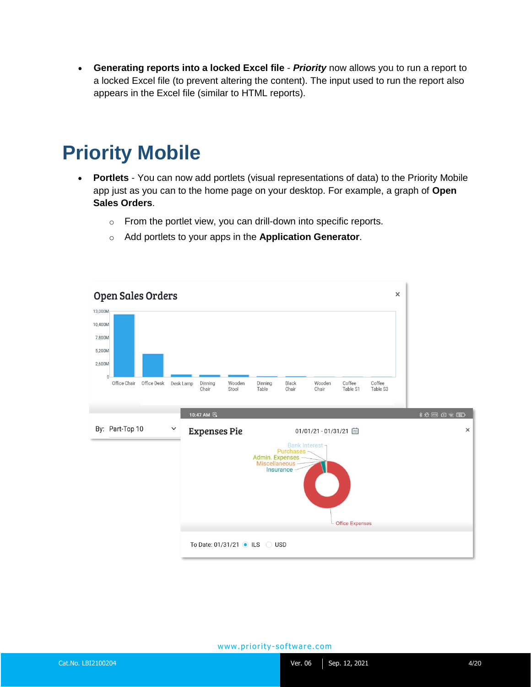• **Generating reports into a locked Excel file** - *Priority* now allows you to run a report to a locked Excel file (to prevent altering the content). The input used to run the report also appears in the Excel file (similar to HTML reports).

## <span id="page-3-0"></span>**Priority Mobile**

- **Portlets**  You can now add portlets (visual representations of data) to the Priority Mobile app just as you can to the home page on your desktop. For example, a graph of **Open Sales Orders**.
	- o From the portlet view, you can drill-down into specific reports.
	- o Add portlets to your apps in the **Application Generator**.

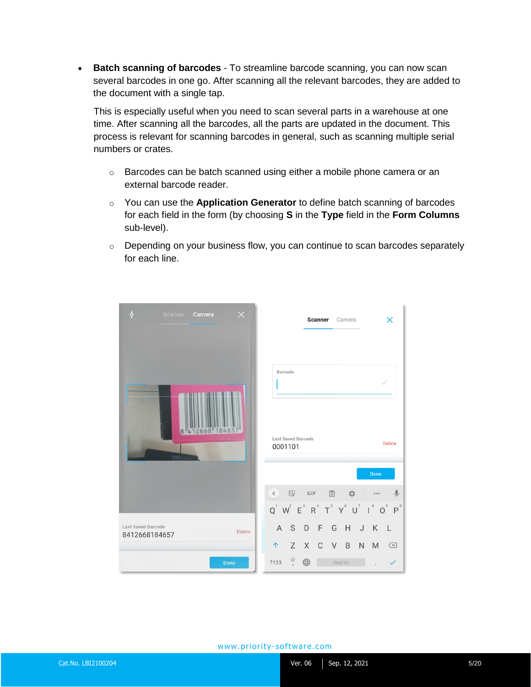• **Batch scanning of barcodes** - To streamline barcode scanning, you can now scan several barcodes in one go. After scanning all the relevant barcodes, they are added to the document with a single tap.

This is especially useful when you need to scan several parts in a warehouse at one time. After scanning all the barcodes, all the parts are updated in the document. This process is relevant for scanning barcodes in general, such as scanning multiple serial numbers or crates.

- $\circ$  Barcodes can be batch scanned using either a mobile phone camera or an external barcode reader.
- o You can use the **Application Generator** to define batch scanning of barcodes for each field in the form (by choosing **S** in the **Type** field in the **Form Columns** sub-level).
- o Depending on your business flow, you can continue to scan barcodes separately for each line.

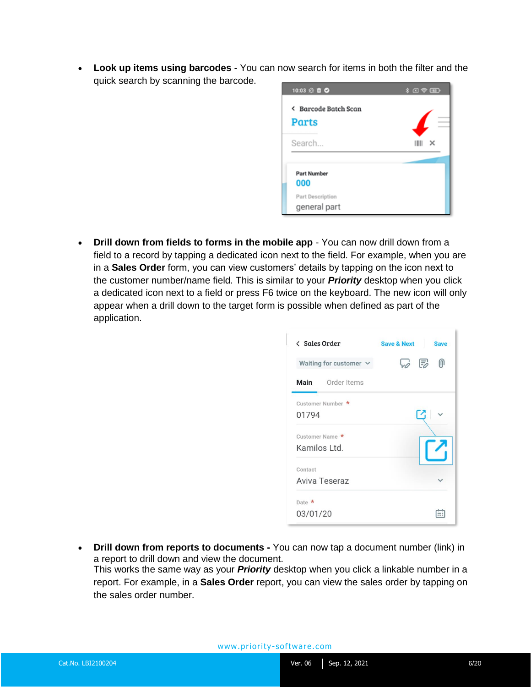• **Look up items using barcodes** - You can now search for items in both the filter and the quick search by scanning the barcode.



• **Drill down from fields to forms in the mobile app** - You can now drill down from a field to a record by tapping a dedicated icon next to the field. For example, when you are in a **Sales Order** form, you can view customers' details by tapping on the icon next to the customer number/name field. This is similar to your *Priority* desktop when you click a dedicated icon next to a field or press F6 twice on the keyboard. The new icon will only appear when a drill down to the target form is possible when defined as part of the application.

| < Sales Order               | <b>Save &amp; Next</b><br><b>Save</b> |
|-----------------------------|---------------------------------------|
| Waiting for customer $\vee$ | W 5<br>⋒                              |
| <b>Main</b> Order Items     |                                       |
| Customer Number *           |                                       |
| 01794                       | Ľ                                     |
| Customer Name *             |                                       |
| Kamilos Ltd.                |                                       |
| Contact                     |                                       |
| Aviva Teseraz               |                                       |
| Date $\star$                |                                       |
| 03/01/20                    |                                       |

• **Drill down from reports to documents -** You can now tap a document number (link) in a report to drill down and view the document. This works the same way as your *Priority* desktop when you click a linkable number in a report. For example, in a **Sales Order** report, you can view the sales order by tapping on the sales order number.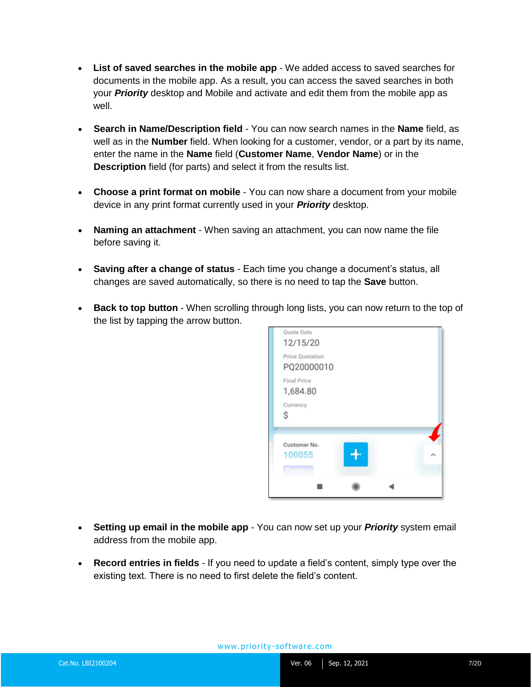- **List of saved searches in the mobile app** We added access to saved searches for documents in the mobile app. As a result, you can access the saved searches in both your *Priority* desktop and Mobile and activate and edit them from the mobile app as well.
- **Search in Name/Description field** You can now search names in the **Name** field, as well as in the **Number** field. When looking for a customer, vendor, or a part by its name, enter the name in the **Name** field (**Customer Name**, **Vendor Name**) or in the **Description** field (for parts) and select it from the results list.
- **Choose a print format on mobile** You can now share a document from your mobile device in any print format currently used in your *Priority* desktop.
- **Naming an attachment**  When saving an attachment, you can now name the file before saving it.
- **Saving after a change of status** Each time you change a document's status, all changes are saved automatically, so there is no need to tap the **Save** button.
- **Back to top button** When scrolling through long lists, you can now return to the top of the list by tapping the arrow button.



- **Setting up email in the mobile app**  You can now set up your *Priority* system email address from the mobile app.
- **Record entries in fields** If you need to update a field's content, simply type over the existing text. There is no need to first delete the field's content.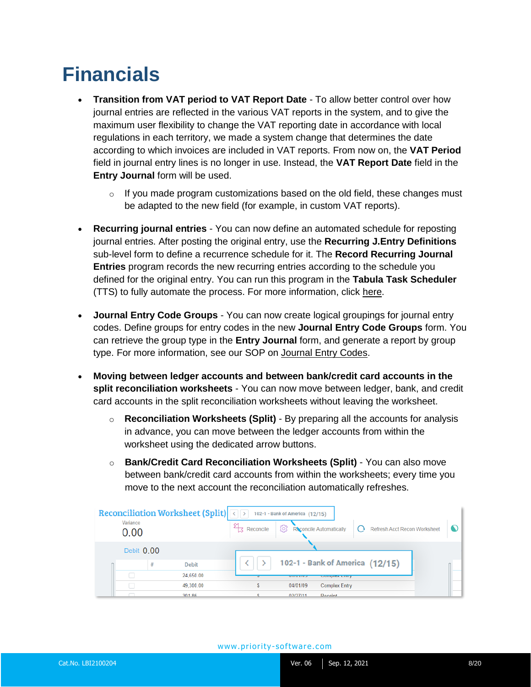# <span id="page-7-0"></span>**Financials**

- **Transition from VAT period to VAT Report Date**  To allow better control over how journal entries are reflected in the various VAT reports in the system, and to give the maximum user flexibility to change the VAT reporting date in accordance with local regulations in each territory, we made a system change that determines the date according to which invoices are included in VAT reports. From now on, the **VAT Period**  field in journal entry lines is no longer in use. Instead, the **VAT Report Date** field in the **Entry Journal** form will be used.
	- $\circ$  If you made program customizations based on the old field, these changes must be adapted to the new field (for example, in custom VAT reports).
- **Recurring journal entries**  You can now define an automated schedule for reposting journal entries. After posting the original entry, use the **Recurring J.Entry Definitions** sub-level form to define a recurrence schedule for it. The **Record Recurring Journal Entries** program records the new recurring entries according to the schedule you defined for the original entry. You can run this program in the **Tabula Task Scheduler** (TTS) to fully automate the process. For more information, click [here.](https://support.priority-software.com/#/kb/LBI2100141/English)
- **Journal Entry Code Groups**  You can now create logical groupings for journal entry codes. Define groups for entry codes in the new **Journal Entry Code Groups** form. You can retrieve the group type in the **Entry Journal** form, and generate a report by group type. For more information, see our SOP on [Journal Entry Codes.](https://support.priority-software.com/#/kb/LBI2100160/English)
- **Moving between ledger accounts and between bank/credit card accounts in the split reconciliation worksheets** - You can now move between ledger, bank, and credit card accounts in the split reconciliation worksheets without leaving the worksheet.
	- o **Reconciliation Worksheets (Split)** By preparing all the accounts for analysis in advance, you can move between the ledger accounts from within the worksheet using the dedicated arrow buttons.
	- o **Bank/Credit Card Reconciliation Worksheets (Split)**  You can also move between bank/credit card accounts from within the worksheets; every time you move to the next account the reconciliation automatically refreshes.

| Reconciliation Worksheet (Split) <b>A</b><br>Variance<br>0.00 |              | 102-1 - Bank of America (12/15)<br>ශ<br>Reconcile | Reconcile Automatically         |                                       | Refresh Acct Recon Worksheet |  |
|---------------------------------------------------------------|--------------|---------------------------------------------------|---------------------------------|---------------------------------------|------------------------------|--|
| Debit 0.00                                                    |              |                                                   |                                 |                                       |                              |  |
| #                                                             | <b>Debit</b> |                                                   | 102-1 - Bank of America (12/15) |                                       |                              |  |
|                                                               | 24,650.00    |                                                   | <b>UTION</b>                    | <b><i><u>COTTIDIGA LITTLY</u></i></b> |                              |  |
|                                                               | 49,300.00    |                                                   | 04/01/09                        | <b>Complex Entry</b>                  |                              |  |
|                                                               | 301.86       |                                                   | 02/27/11<br>Receint             |                                       |                              |  |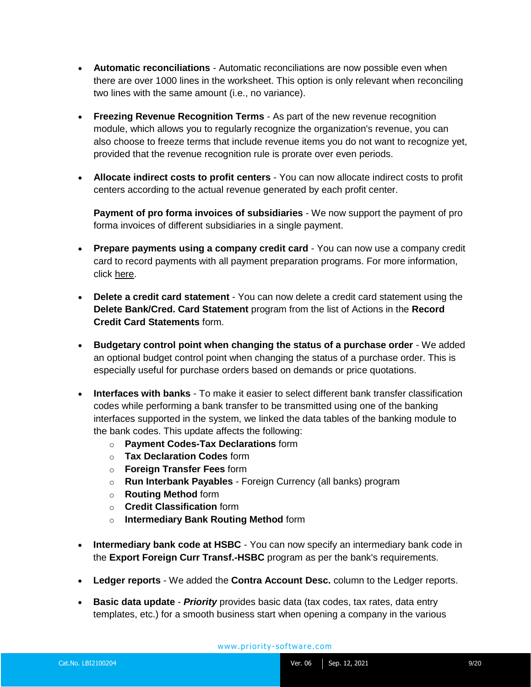- **Automatic reconciliations** Automatic reconciliations are now possible even when there are over 1000 lines in the worksheet. This option is only relevant when reconciling two lines with the same amount (i.e., no variance).
- **Freezing Revenue Recognition Terms**  As part of the new revenue recognition module, which allows you to regularly recognize the organization's revenue, you can also choose to freeze terms that include revenue items you do not want to recognize yet, provided that the revenue recognition rule is prorate over even periods.
- **Allocate indirect costs to profit centers** You can now allocate indirect costs to profit centers according to the actual revenue generated by each profit center.

**Payment of pro forma invoices of subsidiaries** - We now support the payment of pro forma invoices of different subsidiaries in a single payment.

- **Prepare payments using a company credit card**  You can now use a company credit card to record payments with all payment preparation programs. For more information, click [here.](https://support.priority-software.com/#/kb/LBI2100139/English)
- **Delete a credit card statement**  You can now delete a credit card statement using the **Delete Bank/Cred. Card Statement** program from the list of Actions in the **Record Credit Card Statements** form.
- **Budgetary control point when changing the status of a purchase order**  We added an optional budget control point when changing the status of a purchase order. This is especially useful for purchase orders based on demands or price quotations.
- **Interfaces with banks** To make it easier to select different bank transfer classification codes while performing a bank transfer to be transmitted using one of the banking interfaces supported in the system, we linked the data tables of the banking module to the bank codes. This update affects the following:
	- o **Payment Codes-Tax Declarations** form
	- o **Tax Declaration Codes** form
	- o **Foreign Transfer Fees** form
	- o **Run Interbank Payables** Foreign Currency (all banks) program
	- o **Routing Method** form
	- o **Credit Classification** form
	- o **Intermediary Bank Routing Method** form
- **Intermediary bank code at HSBC** You can now specify an intermediary bank code in the **Export Foreign Curr Transf.-HSBC** program as per the bank's requirements.
- **Ledger reports**  We added the **Contra Account Desc.** column to the Ledger reports.
- **Basic data update**  *Priority* provides basic data (tax codes, tax rates, data entry templates, etc.) for a smooth business start when opening a company in the various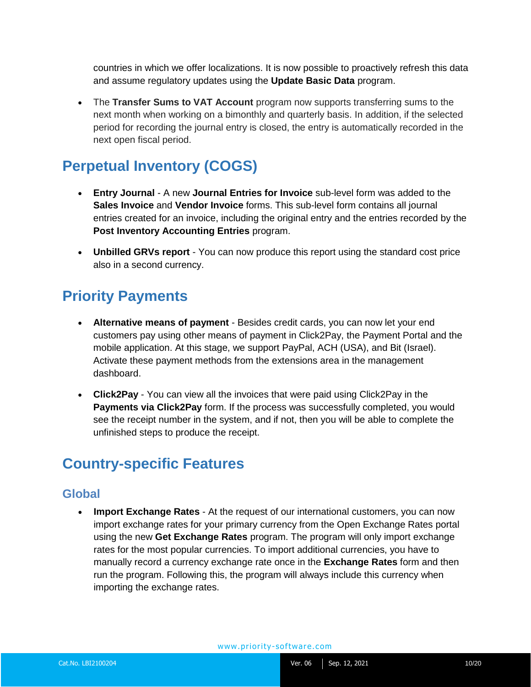countries in which we offer localizations. It is now possible to proactively refresh this data and assume regulatory updates using the **Update Basic Data** program.

• The **Transfer Sums to VAT Account** program now supports transferring sums to the next month when working on a bimonthly and quarterly basis. In addition, if the selected period for recording the journal entry is closed, the entry is automatically recorded in the next open fiscal period.

### <span id="page-9-0"></span>**Perpetual Inventory (COGS)**

- **Entry Journal**  A new **Journal Entries for Invoice** sub-level form was added to the **Sales Invoice** and **Vendor Invoice** forms. This sub-level form contains all journal entries created for an invoice, including the original entry and the entries recorded by the **Post Inventory Accounting Entries** program.
- **Unbilled GRVs report** You can now produce this report using the standard cost price also in a second currency.

### <span id="page-9-1"></span>**Priority Payments**

- **Alternative means of payment** Besides credit cards, you can now let your end customers pay using other means of payment in Click2Pay, the Payment Portal and the mobile application. At this stage, we support PayPal, ACH (USA), and Bit (Israel). Activate these payment methods from the extensions area in the management dashboard.
- **Click2Pay**  You can view all the invoices that were paid using Click2Pay in the **Payments via Click2Pay** form. If the process was successfully completed, you would see the receipt number in the system, and if not, then you will be able to complete the unfinished steps to produce the receipt.

### <span id="page-9-2"></span>**Country-specific Features**

#### **Global**

• **Import Exchange Rates** - At the request of our international customers, you can now import exchange rates for your primary currency from the Open Exchange Rates portal using the new **Get Exchange Rates** program. The program will only import exchange rates for the most popular currencies. To import additional currencies, you have to manually record a currency exchange rate once in the **Exchange Rates** form and then run the program. Following this, the program will always include this currency when importing the exchange rates.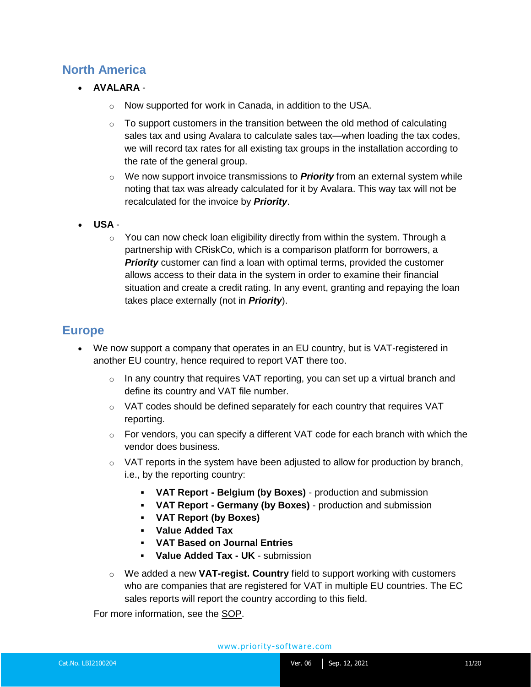#### **North America**

- **AVALARA**
	- o Now supported for work in Canada, in addition to the USA.
	- $\circ$  To support customers in the transition between the old method of calculating sales tax and using Avalara to calculate sales tax—when loading the tax codes, we will record tax rates for all existing tax groups in the installation according to the rate of the general group.
	- o We now support invoice transmissions to *Priority* from an external system while noting that tax was already calculated for it by Avalara. This way tax will not be recalculated for the invoice by *Priority*.
- **USA**
	- $\circ$  You can now check loan eligibility directly from within the system. Through a partnership with CRiskCo, which is a comparison platform for borrowers, a **Priority** customer can find a loan with optimal terms, provided the customer allows access to their data in the system in order to examine their financial situation and create a credit rating. In any event, granting and repaying the loan takes place externally (not in *Priority*).

#### **Europe**

- We now support a company that operates in an EU country, but is VAT-registered in another EU country, hence required to report VAT there too.
	- $\circ$  In any country that requires VAT reporting, you can set up a virtual branch and define its country and VAT file number.
	- $\circ$  VAT codes should be defined separately for each country that requires VAT reporting.
	- $\circ$  For vendors, you can specify a different VAT code for each branch with which the vendor does business.
	- $\circ$  VAT reports in the system have been adjusted to allow for production by branch, i.e., by the reporting country:
		- **VAT Report - Belgium (by Boxes)** production and submission
		- **VAT Report - Germany (by Boxes)**  production and submission
		- **VAT Report (by Boxes)**
		- **Value Added Tax**
		- **VAT Based on Journal Entries**
		- **Value Added Tax - UK**  submission
	- o We added a new **VAT-regist. Country** field to support working with customers who are companies that are registered for VAT in multiple EU countries. The EC sales reports will report the country according to this field.

For more information, see the [SOP.](https://support.priority-software.com/#/kb/LBI2100014/English)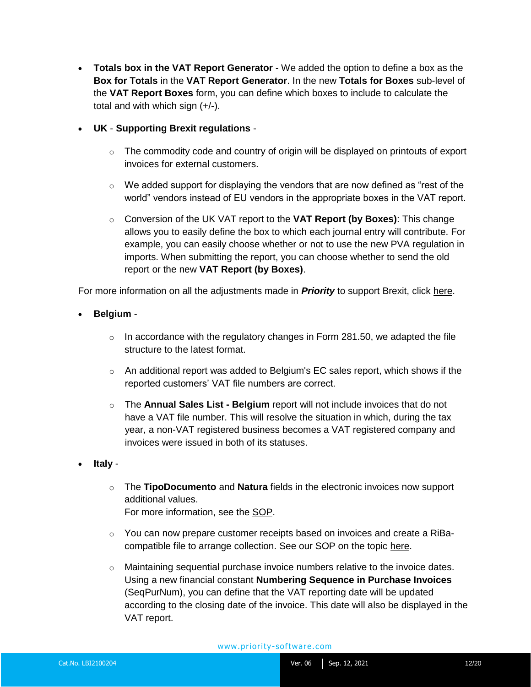- **Totals box in the VAT Report Generator** We added the option to define a box as the **Box for Totals** in the **VAT Report Generator**. In the new **Totals for Boxes** sub-level of the **VAT Report Boxes** form, you can define which boxes to include to calculate the total and with which sign (+/-).
- **UK Supporting Brexit regulations** 
	- $\circ$  The commodity code and country of origin will be displayed on printouts of export invoices for external customers.
	- $\circ$  We added support for displaying the vendors that are now defined as "rest of the world" vendors instead of EU vendors in the appropriate boxes in the VAT report.
	- o Conversion of the UK VAT report to the **VAT Report (by Boxes)**: This change allows you to easily define the box to which each journal entry will contribute. For example, you can easily choose whether or not to use the new PVA regulation in imports. When submitting the report, you can choose whether to send the old report or the new **VAT Report (by Boxes)**.

For more information on all the adjustments made in *Priority* to support Brexit, click [here.](https://support.priority-software.com/#/kb/LBI2100199/English)

- **Belgium** 
	- $\circ$  In accordance with the regulatory changes in Form 281.50, we adapted the file structure to the latest format.
	- $\circ$  An additional report was added to Belgium's EC sales report, which shows if the reported customers' VAT file numbers are correct.
	- o The **Annual Sales List - Belgium** report will not include invoices that do not have a VAT file number. This will resolve the situation in which, during the tax year, a non-VAT registered business becomes a VAT registered company and invoices were issued in both of its statuses.
- **Italy** 
	- o The **TipoDocumento** and **Natura** fields in the electronic invoices now support additional values.
		- For more information, see the [SOP.](https://support.priority-software.com/#/kb/LBI2000796/English)
	- $\circ$  You can now prepare customer receipts based on invoices and create a RiBacompatible file to arrange collection. See our SOP on the topic [here.](https://support.priority-software.com/#/kb/LBI2100154/English)
	- $\circ$  Maintaining sequential purchase invoice numbers relative to the invoice dates. Using a new financial constant **Numbering Sequence in Purchase Invoices**  (SeqPurNum), you can define that the VAT reporting date will be updated according to the closing date of the invoice. This date will also be displayed in the VAT report.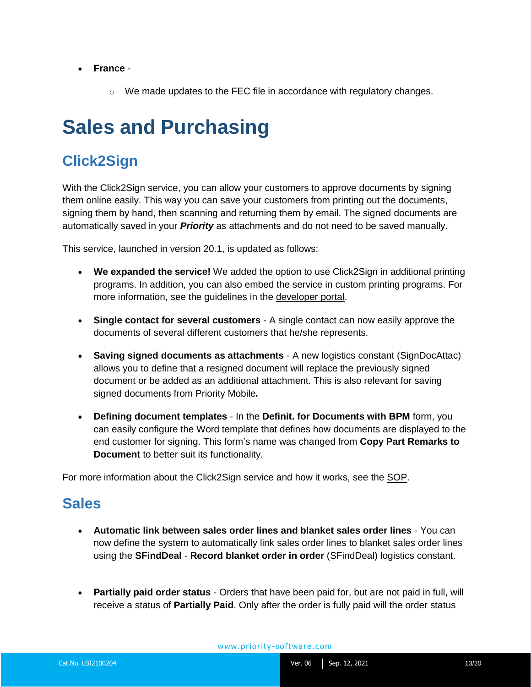- **France** 
	- $\circ$  We made updates to the FEC file in accordance with regulatory changes.

# <span id="page-12-0"></span>**Sales and Purchasing**

## <span id="page-12-1"></span>**Click2Sign**

With the Click2Sign service, you can allow your customers to approve documents by signing them online easily. This way you can save your customers from printing out the documents, signing them by hand, then scanning and returning them by email. The signed documents are automatically saved in your *Priority* as attachments and do not need to be saved manually.

This service, launched in version 20.1, is updated as follows:

- **We expanded the service!** We added the option to use Click2Sign in additional printing programs. In addition, you can also embed the service in custom printing programs. For more information, see the guidelines in the [developer portal.](https://prioritysoftware.github.io/)
- **Single contact for several customers**  A single contact can now easily approve the documents of several different customers that he/she represents.
- **Saving signed documents as attachments**  A new logistics constant (SignDocAttac) allows you to define that a resigned document will replace the previously signed document or be added as an additional attachment. This is also relevant for saving signed documents from Priority Mobile*.*
- **Defining document templates** In the **Definit. for Documents with BPM** form, you can easily configure the Word template that defines how documents are displayed to the end customer for signing. This form's name was changed from **Copy Part Remarks to Document** to better suit its functionality.

For more information about the Click2Sign service and how it works, see the [SOP.](https://support.priority-software.com/#/kb/LBI2100158/English)

### <span id="page-12-2"></span>**Sales**

- **Automatic link between sales order lines and blanket sales order lines**  You can now define the system to automatically link sales order lines to blanket sales order lines using the **SFindDeal** - **Record blanket order in order** (SFindDeal) logistics constant.
- **Partially paid order status** Orders that have been paid for, but are not paid in full, will receive a status of **Partially Paid**. Only after the order is fully paid will the order status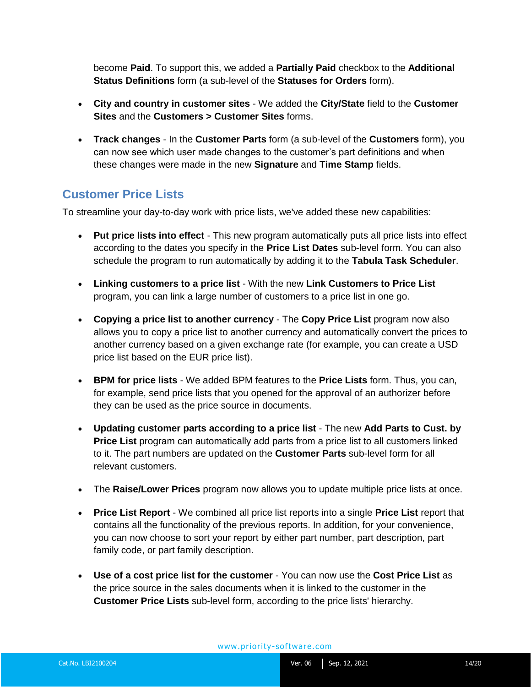become **Paid**. To support this, we added a **Partially Paid** checkbox to the **Additional Status Definitions** form (a sub-level of the **Statuses for Orders** form).

- **City and country in customer sites**  We added the **City/State** field to the **Customer Sites** and the **Customers > Customer Sites** forms.
- **Track changes**  In the **Customer Parts** form (a sub-level of the **Customers** form), you can now see which user made changes to the customer's part definitions and when these changes were made in the new **Signature** and **Time Stamp** fields.

#### **Customer Price Lists**

To streamline your day-to-day work with price lists, we've added these new capabilities:

- **Put price lists into effect** This new program automatically puts all price lists into effect according to the dates you specify in the **Price List Dates** sub-level form. You can also schedule the program to run automatically by adding it to the **Tabula Task Scheduler**.
- **Linking customers to a price list**  With the new **Link Customers to Price List**  program, you can link a large number of customers to a price list in one go.
- **Copying a price list to another currency** The **Copy Price List** program now also allows you to copy a price list to another currency and automatically convert the prices to another currency based on a given exchange rate (for example, you can create a USD price list based on the EUR price list).
- **BPM for price lists**  We added BPM features to the **Price Lists** form. Thus, you can, for example, send price lists that you opened for the approval of an authorizer before they can be used as the price source in documents.
- **Updating customer parts according to a price list**  The new **Add Parts to Cust. by Price List** program can automatically add parts from a price list to all customers linked to it. The part numbers are updated on the **Customer Parts** sub-level form for all relevant customers.
- The **Raise/Lower Prices** program now allows you to update multiple price lists at once.
- **Price List Report**  We combined all price list reports into a single **Price List** report that contains all the functionality of the previous reports. In addition, for your convenience, you can now choose to sort your report by either part number, part description, part family code, or part family description.
- **Use of a cost price list for the customer**  You can now use the **Cost Price List** as the price source in the sales documents when it is linked to the customer in the **Customer Price Lists** sub-level form, according to the price lists' hierarchy.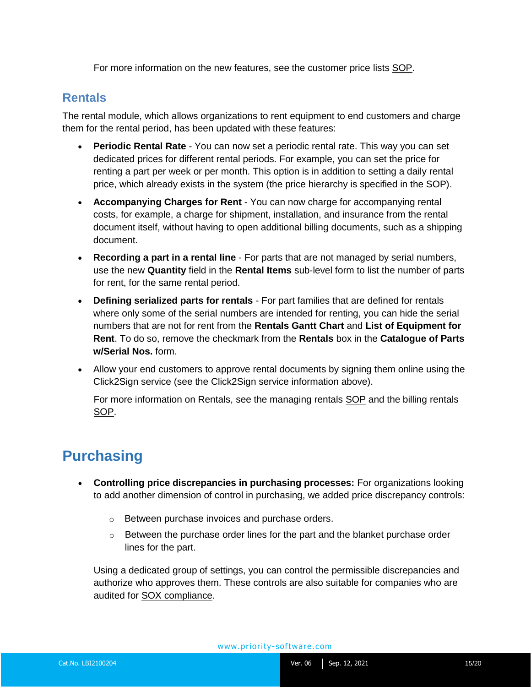For more information on the new features, see the customer price lists [SOP.](https://support.priority-software.com/#/kb/LBI2100051/English)

#### **Rentals**

The rental module, which allows organizations to rent equipment to end customers and charge them for the rental period, has been updated with these features:

- **Periodic Rental Rate** You can now set a periodic rental rate. This way you can set dedicated prices for different rental periods. For example, you can set the price for renting a part per week or per month. This option is in addition to setting a daily rental price, which already exists in the system (the price hierarchy is specified in the SOP).
- **Accompanying Charges for Rent**  You can now charge for accompanying rental costs, for example, a charge for shipment, installation, and insurance from the rental document itself, without having to open additional billing documents, such as a shipping document.
- **Recording a part in a rental line** For parts that are not managed by serial numbers, use the new **Quantity** field in the **Rental Items** sub-level form to list the number of parts for rent, for the same rental period.
- **Defining serialized parts for rentals** For part families that are defined for rentals where only some of the serial numbers are intended for renting, you can hide the serial numbers that are not for rent from the **Rentals Gantt Chart** and **List of Equipment for Rent**. To do so, remove the checkmark from the **Rentals** box in the **Catalogue of Parts w/Serial Nos.** form.
- Allow your end customers to approve rental documents by signing them online using the Click2Sign service (see the Click2Sign service information above).

For more information on Rentals, see the managing rentals [SOP](https://support.priority-software.com/#/kb/LBI2100230/English) and the billing rentals [SOP.](https://support.priority-software.com/#/kb/LBI2100232/English)

## <span id="page-14-0"></span>**Purchasing**

- **Controlling price discrepancies in purchasing processes:** For organizations looking to add another dimension of control in purchasing, we added price discrepancy controls:
	- o Between purchase invoices and purchase orders.
	- $\circ$  Between the purchase order lines for the part and the blanket purchase order lines for the part.

Using a dedicated group of settings, you can control the permissible discrepancies and authorize who approves them. These controls are also suitable for companies who are audited for [SOX compliance.](https://support.priority-software.com/#/kb/LBI2000531/English)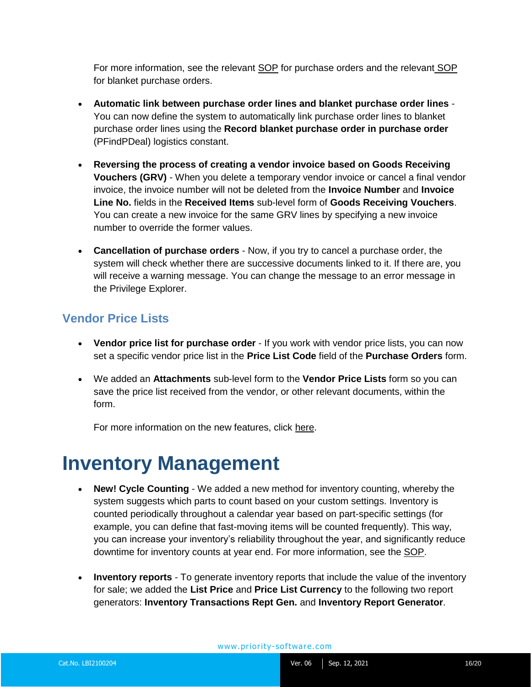For more information, see the relevant [SOP](https://support.priority-software.com/#/kb/LBI2100018/English) for purchase orders and the relevant [SOP](https://support.priority-software.com/#/kb/LBI2100085/English) for blanket purchase orders.

- **Automatic link between purchase order lines and blanket purchase order lines**  You can now define the system to automatically link purchase order lines to blanket purchase order lines using the **Record blanket purchase order in purchase order**  (PFindPDeal) logistics constant.
- **Reversing the process of creating a vendor invoice based on Goods Receiving Vouchers (GRV)** - When you delete a temporary vendor invoice or cancel a final vendor invoice, the invoice number will not be deleted from the **Invoice Number** and **Invoice Line No.** fields in the **Received Items** sub-level form of **Goods Receiving Vouchers**. You can create a new invoice for the same GRV lines by specifying a new invoice number to override the former values.
- **Cancellation of purchase orders** Now, if you try to cancel a purchase order, the system will check whether there are successive documents linked to it. If there are, you will receive a warning message. You can change the message to an error message in the Privilege Explorer.

#### **Vendor Price Lists**

- **Vendor price list for purchase order** If you work with vendor price lists, you can now set a specific vendor price list in the **Price List Code** field of the **Purchase Orders** form.
- We added an **Attachments** sub-level form to the **Vendor Price Lists** form so you can save the price list received from the vendor, or other relevant documents, within the form.

For more information on the new features, click [here.](https://support.priority-software.com/#/kb/LB10000175/English)

## <span id="page-15-0"></span>**Inventory Management**

- **New! Cycle Counting**  We added a new method for inventory counting, whereby the system suggests which parts to count based on your custom settings. Inventory is counted periodically throughout a calendar year based on part-specific settings (for example, you can define that fast-moving items will be counted frequently). This way, you can increase your inventory's reliability throughout the year, and significantly reduce downtime for inventory counts at year end. For more information, see the [SOP.](https://support.priority-software.com/#/kb/LBI2100222/English)
- **Inventory reports**  To generate inventory reports that include the value of the inventory for sale; we added the **List Price** and **Price List Currency** to the following two report generators: **Inventory Transactions Rept Gen.** and **Inventory Report Generator**.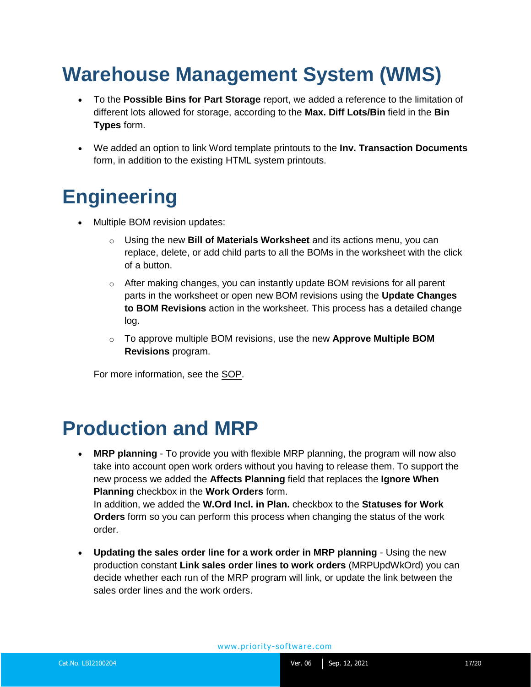# <span id="page-16-0"></span>**Warehouse Management System (WMS)**

- To the **Possible Bins for Part Storage** report, we added a reference to the limitation of different lots allowed for storage, according to the **Max. Diff Lots/Bin** field in the **Bin Types** form.
- We added an option to link Word template printouts to the **Inv. Transaction Documents** form, in addition to the existing HTML system printouts.

## <span id="page-16-1"></span>**Engineering**

- Multiple BOM revision updates:
	- o Using the new **Bill of Materials Worksheet** and its actions menu, you can replace, delete, or add child parts to all the BOMs in the worksheet with the click of a button.
	- $\circ$  After making changes, you can instantly update BOM revisions for all parent parts in the worksheet or open new BOM revisions using the **Update Changes to BOM Revisions** action in the worksheet. This process has a detailed change log.
	- o To approve multiple BOM revisions, use the new **Approve Multiple BOM Revisions** program.

For more information, see the [SOP.](https://support.priority-software.com/#/kb/LBI2100089/English)

## <span id="page-16-2"></span>**Production and MRP**

• **MRP planning** - To provide you with flexible MRP planning, the program will now also take into account open work orders without you having to release them. To support the new process we added the **Affects Planning** field that replaces the **Ignore When Planning** checkbox in the **Work Orders** form. In addition, we added the **W.Ord Incl. in Plan.** checkbox to the **Statuses for Work** 

**Orders** form so you can perform this process when changing the status of the work order.

• **Updating the sales order line for a work order in MRP planning** - Using the new production constant **Link sales order lines to work orders** (MRPUpdWkOrd) you can decide whether each run of the MRP program will link, or update the link between the sales order lines and the work orders.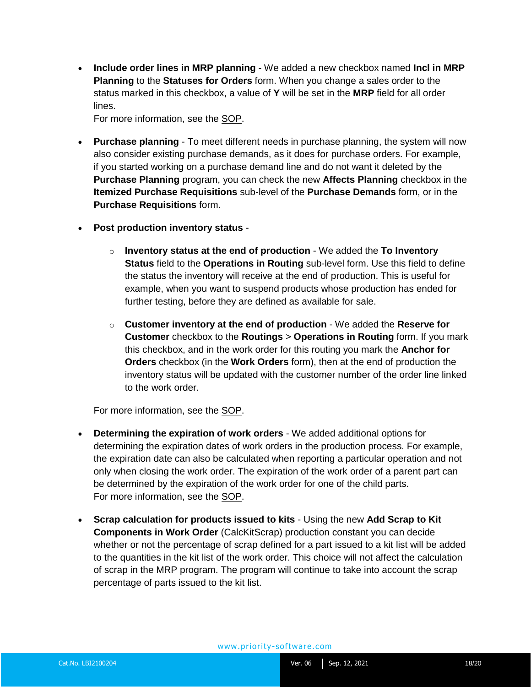• **Include order lines in MRP planning** - We added a new checkbox named **Incl in MRP Planning** to the **Statuses for Orders** form. When you change a sales order to the status marked in this checkbox, a value of **Y** will be set in the **MRP** field for all order lines.

For more information, see the [SOP.](https://support.priority-software.com/#/kb/LBI2100043/English)

- **Purchase planning** To meet different needs in purchase planning, the system will now also consider existing purchase demands, as it does for purchase orders. For example, if you started working on a purchase demand line and do not want it deleted by the **Purchase Planning** program, you can check the new **Affects Planning** checkbox in the **Itemized Purchase Requisitions** sub-level of the **Purchase Demands** form, or in the **Purchase Requisitions** form.
- **Post production inventory status**
	- o **Inventory status at the end of production** We added the **To Inventory Status** field to the **Operations in Routing** sub-level form. Use this field to define the status the inventory will receive at the end of production. This is useful for example, when you want to suspend products whose production has ended for further testing, before they are defined as available for sale.
	- o **Customer inventory at the end of production** We added the **Reserve for Customer** checkbox to the **Routings** > **Operations in Routing** form. If you mark this checkbox, and in the work order for this routing you mark the **Anchor for Orders** checkbox (in the **Work Orders** form), then at the end of production the inventory status will be updated with the customer number of the order line linked to the work order.

For more information, see the [SOP.](https://support.priority-software.com/#/kb/LBI2000772/English)

- **Determining the expiration of work orders**  We added additional options for determining the expiration dates of work orders in the production process. For example, the expiration date can also be calculated when reporting a particular operation and not only when closing the work order. The expiration of the work order of a parent part can be determined by the expiration of the work order for one of the child parts. For more information, see the [SOP.](https://support.priority-software.com/#/kb/LBI2000869/English)
- **Scrap calculation for products issued to kits**  Using the new **Add Scrap to Kit Components in Work Order** (CalcKitScrap) production constant you can decide whether or not the percentage of scrap defined for a part issued to a kit list will be added to the quantities in the kit list of the work order. This choice will not affect the calculation of scrap in the MRP program. The program will continue to take into account the scrap percentage of parts issued to the kit list.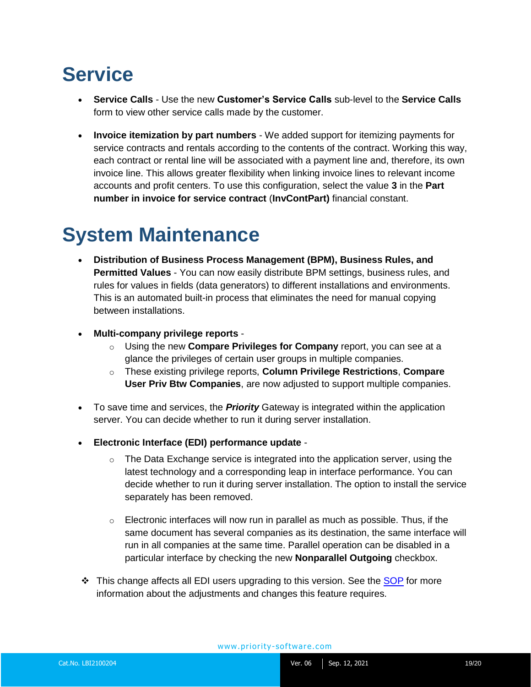# <span id="page-18-0"></span>**Service**

- **Service Calls** Use the new **Customer's Service Calls** sub-level to the **Service Calls** form to view other service calls made by the customer.
- **Invoice itemization by part numbers**  We added support for itemizing payments for service contracts and rentals according to the contents of the contract. Working this way, each contract or rental line will be associated with a payment line and, therefore, its own invoice line. This allows greater flexibility when linking invoice lines to relevant income accounts and profit centers. To use this configuration, select the value **3** in the **Part number in invoice for service contract** (**InvContPart)** financial constant.

## <span id="page-18-1"></span>**System Maintenance**

- **Distribution of Business Process Management (BPM), Business Rules, and Permitted Values** - You can now easily distribute BPM settings, business rules, and rules for values in fields (data generators) to different installations and environments. This is an automated built-in process that eliminates the need for manual copying between installations.
- **Multi-company privilege reports**
	- o Using the new **Compare Privileges for Company** report, you can see at a glance the privileges of certain user groups in multiple companies.
	- o These existing privilege reports, **Column Privilege Restrictions**, **Compare User Priv Btw Companies**, are now adjusted to support multiple companies.
- To save time and services, the *Priority* Gateway is integrated within the application server. You can decide whether to run it during server installation.
- **Electronic Interface (EDI) performance update** 
	- $\circ$  The Data Exchange service is integrated into the application server, using the latest technology and a corresponding leap in interface performance. You can decide whether to run it during server installation. The option to install the service separately has been removed.
	- $\circ$  Electronic interfaces will now run in parallel as much as possible. Thus, if the same document has several companies as its destination, the same interface will run in all companies at the same time. Parallel operation can be disabled in a particular interface by checking the new **Nonparallel Outgoing** checkbox.
- ❖ This change affects all EDI users upgrading to this version. See the [SOP](https://cdn.priority-software.com/docs/SOP_EDIDef21_0_E.pdf) for more information about the adjustments and changes this feature requires.